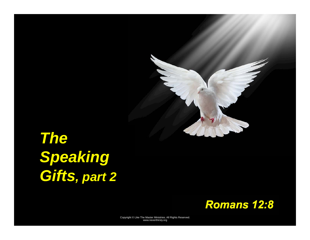

# *The Speaking Gifts, part 2*

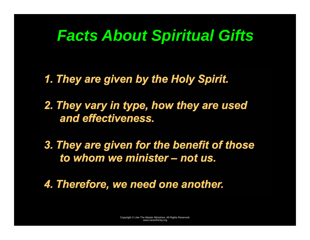## *Facts About Spiritual Gifts*

*1. They are given by the Holy Spirit.* 

*2. They vary in type, how they are used and effectiveness.* 

*3. They are given for the benefit of those to whom we minister – not us.* 

*4. Therefore, we need one another.*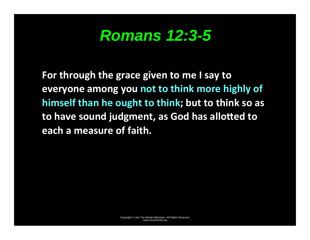## *Romans 12:3-5*

For through the grace given to me I say to everyone among you not to think more highly of himself than he ought to think; but to think so as to have sound judgment, as God has allotted to each a measure of faith.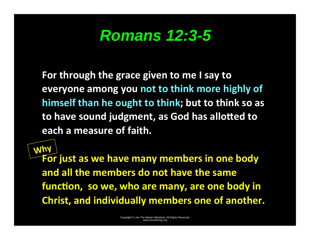## *Romans 12:3-5*

For through the grace given to me I say to everyone among you not to think more highly of himself than he ought to think; but to think so as to have sound judgment, as God has allotted to each a measure of faith.

For just as we have many members in one body and all the members do not have the same function, so we, who are many, are one body in **Christ, and individually members one of another.** Why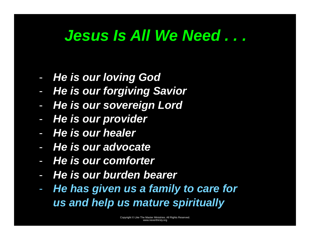## *Jesus Is All We Need . . .*

- -*He is our loving God*
- -*He is our forgiving Savior*
- -*He is our sovereign Lord*
- *He is our provider*
- *He is our healer*
- *He is our advocate*
- *He is our comforter*
- *He is our burden bearer*
- $\mathcal{L}_{\mathcal{A}}$  *He has given us a family to care for us and help us mature spiritually*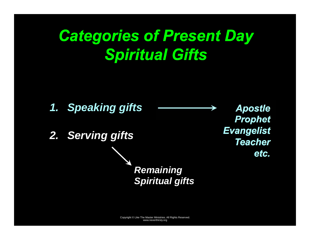## *Categories of Present Day Spiritual Gifts*

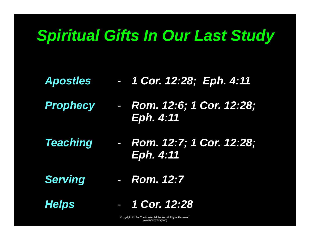## *Spiritual Gifts In Our Last Study*

- *Apostles 1 Cor. 12:28; Eph. 4:11* 
	- *Rom. 12:6; 1 Cor. 12:28; Eph. 4:11*
- *Teaching*  - *Rom. 12:7; 1 Cor. 12:28; Eph. 4:11*
- *Serving*

*Prophecy* 

- *Rom. 12:7* 

*Helps* 

- *1 Cor. 12:28*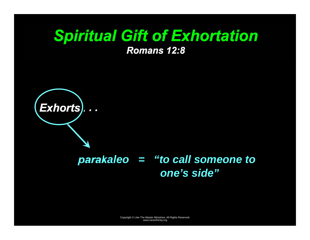# *Spiritual Gift of Exhortation*

*Romans 12:8* 



#### *parakaleo = "to call someone to one's side"*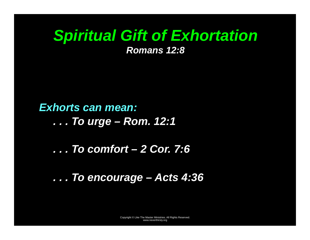## *Spiritual Gift of Exhortation*

*Romans 12:8* 

#### *Exhorts can mean:*

*. . . To urge – Rom. 12:1* 

#### *. . . To comfort – 2 Cor. 7:6*

#### *. . . To encourage – Acts 4:36*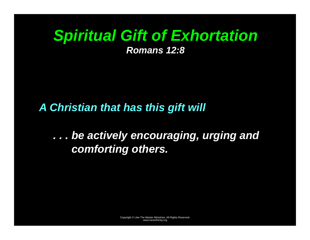# *Spiritual Gift of Exhortation*

*Romans 12:8* 

#### *A Christian that has this gift will*

### *. . . be actively encouraging, urging and comforting others.*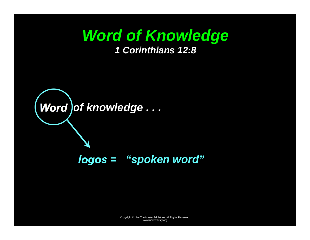### *Word of Knowledge 1 Corinthians 12:8*

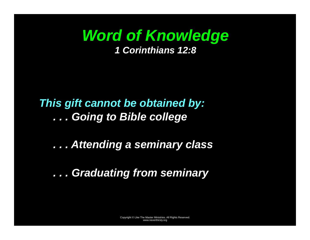## *Word of Knowledge 1 Corinthians 12:8*

### *This gift cannot be obtained by: . . . Going to Bible college*

### *. . . Attending a seminary class*

#### *. . . Graduating from seminary*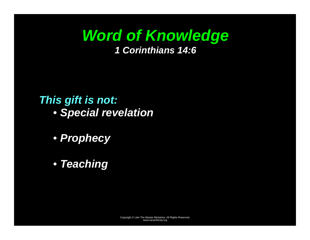## *Word of Knowledge 1 Corinthians 14:6*

#### *This gift is not:*

- *Special revelation*
- *Prophecy*
- *Teaching*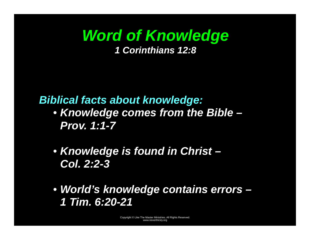## *Word of Knowledge 1 Corinthians 12:8*

#### *Biblical facts about knowledge:*

- *Knowledge comes from the Bible Prov. 1:1-7*
- *Knowledge is found in Christ Col. 2:2-3*
- *World's knowledge contains errors 1 Tim. 6:20-21*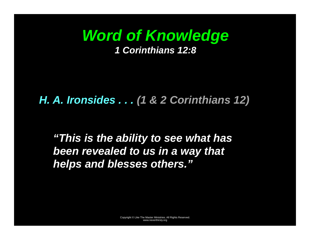

#### *H. A. Ironsides . . . (1 & 2 Corinthians 12)*

*"This is the ability to see what has been revealed to us in a way that helps and blesses others."*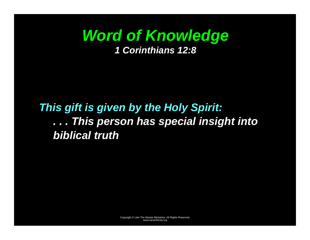## *Word of Knowledge 1 Corinthians 12:8*

### *This gift is given by the Holy Spirit: . . . This person has special insight into biblical truth*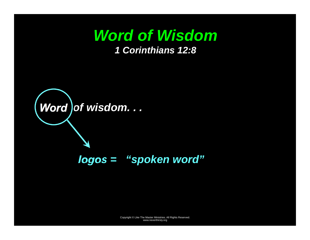

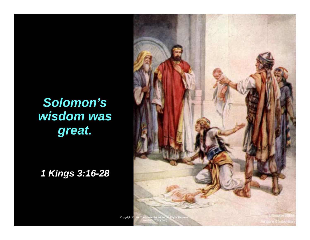## *Solomon's wisdom was great.*

*1 Kings 3:16-28* 

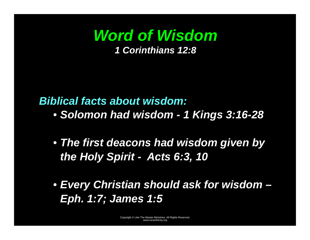

#### *Biblical facts about wisdom:*

- *Solomon had wisdom 1 Kings 3:16-28*
- *The first deacons had wisdom given by the Holy Spirit - Acts 6:3, 10*
- *Every Christian should ask for wisdom Eph. 1:7; James 1:5*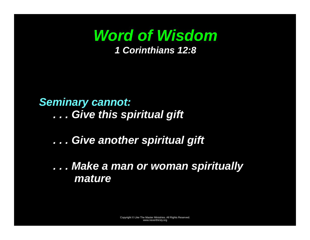

### *Seminary cannot:*

*. . . Give this spiritual gift* 

#### *. . . Give another spiritual gift*

#### *. . . Make a man or woman spiritually mature*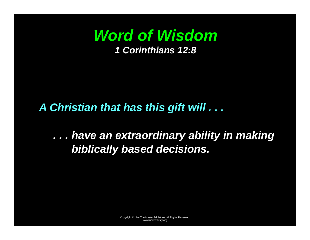

#### *A Christian that has this gift will . . .*

### *. . . have an extraordinary ability in making biblically based decisions.*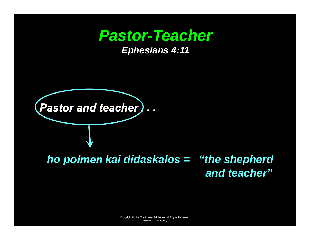## **Pastor-Teacher**

*Ephesians 4:11* 



*ho poimen kai didaskalos = "the shepherd and teacher"*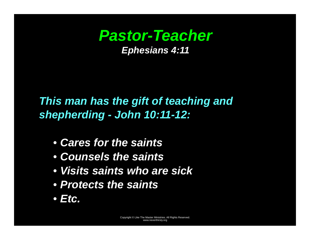### *Pastor-Teacher Ephesians 4:11*

*This man has the gift of teaching and shepherding - John 10:11-12:* 

- *Cares for the saints*
- *Counsels the saints*
- *Visits saints who are sick*
- *Protects the saints*
- *Etc.*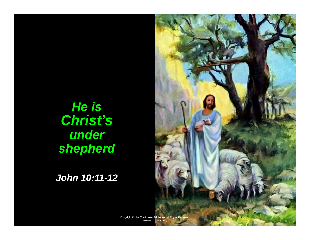## *He is Christ's under shepherd*

*John 10:11-12*

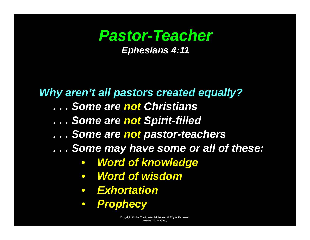### *Pastor-Teacher Ephesians 4:11*

*Why aren't all pastors created equally? . . . Some are not Christians . . . Some are not Spirit-filled . . . Some are not pastor-teachers . . . Some may have some or all of these:*   $\bullet$  *Word of knowledge*   $\bullet$ *Word of wisdom* 

- *Exhortation*
- $\bullet$ *Prophecy*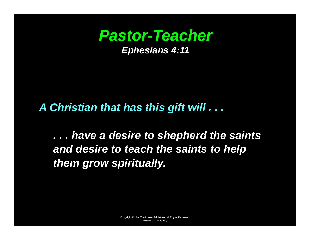

#### *A Christian that has this gift will . . .*

*. . . have a desire to shepherd the saints and desire to teach the saints to help them grow spiritually.*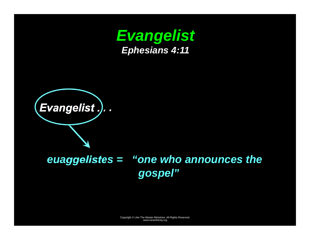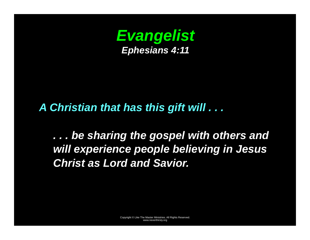

#### *A Christian that has this gift will . . .*

*. . . be sharing the gospel with others and will experience people believing in Jesus Christ as Lord and Savior.*